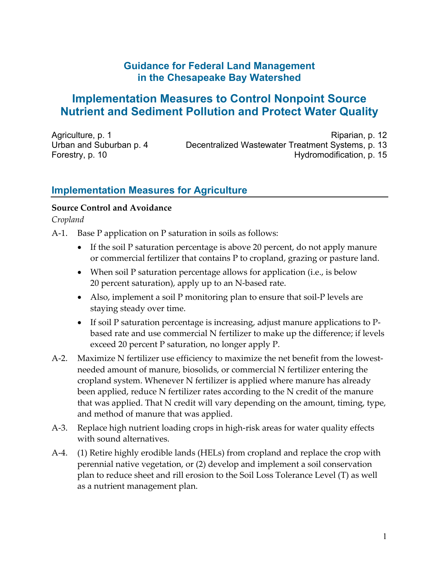## **Guidance for Federal Land Management in the Chesapeake Bay Watershed**

# **Implementation Measures to Control Nonpoint Source Nutrient and Sediment Pollution and Protect Water Quality**

Agriculture, p. 1 Urban and Suburban p. 4 Forestry, p. 10

Riparian, p. 12 Decentralized Wastewater Treatment Systems, p. 13 Hydromodification, p. 15

## **Implementation Measures for Agriculture**

#### **Source Control and Avoidance**

*Cropland* 

A-1. Base P application on P saturation in soils as follows:

- If the soil P saturation percentage is above 20 percent, do not apply manure or commercial fertilizer that contains P to cropland, grazing or pasture land.
- When soil P saturation percentage allows for application (i.e., is below 20 percent saturation), apply up to an N‐based rate.
- Also, implement a soil P monitoring plan to ensure that soil‐P levels are staying steady over time.
- If soil P saturation percentage is increasing, adjust manure applications to P based rate and use commercial N fertilizer to make up the difference; if levels exceed 20 percent P saturation, no longer apply P.
- A-2. Maximize N fertilizer use efficiency to maximize the net benefit from the lowestneeded amount of manure, biosolids, or commercial N fertilizer entering the cropland system. Whenever N fertilizer is applied where manure has already been applied, reduce N fertilizer rates according to the N credit of the manure that was applied. That N credit will vary depending on the amount, timing, type, and method of manure that was applied.
- A‐3. Replace high nutrient loading crops in high‐risk areas for water quality effects with sound alternatives.
- A‐4. (1) Retire highly erodible lands (HELs) from cropland and replace the crop with perennial native vegetation, or (2) develop and implement a soil conservation plan to reduce sheet and rill erosion to the Soil Loss Tolerance Level (T) as well as a nutrient management plan.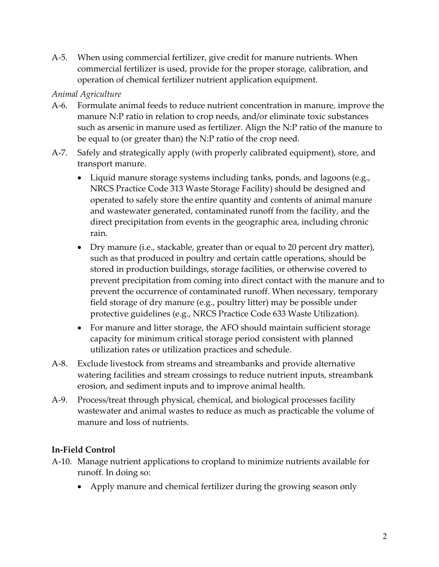A‐5. When using commercial fertilizer, give credit for manure nutrients. When commercial fertilizer is used, provide for the proper storage, calibration, and operation of chemical fertilizer nutrient application equipment.

#### *Animal Agriculture*

- A‐6. Formulate animal feeds to reduce nutrient concentration in manure, improve the manure N:P ratio in relation to crop needs, and/or eliminate toxic substances such as arsenic in manure used as fertilizer. Align the N:P ratio of the manure to be equal to (or greater than) the N:P ratio of the crop need.
- A‐7. Safely and strategically apply (with properly calibrated equipment), store, and transport manure.
	- Liquid manure storage systems including tanks, ponds, and lagoons (e.g., NRCS Practice Code 313 Waste Storage Facility) should be designed and operated to safely store the entire quantity and contents of animal manure and wastewater generated, contaminated runoff from the facility, and the direct precipitation from events in the geographic area, including chronic rain.
	- Dry manure (i.e., stackable, greater than or equal to 20 percent dry matter), such as that produced in poultry and certain cattle operations, should be stored in production buildings, storage facilities, or otherwise covered to prevent precipitation from coming into direct contact with the manure and to prevent the occurrence of contaminated runoff. When necessary, temporary field storage of dry manure (e.g., poultry litter) may be possible under protective guidelines (e.g., NRCS Practice Code 633 Waste Utilization).
	- For manure and litter storage, the AFO should maintain sufficient storage capacity for minimum critical storage period consistent with planned utilization rates or utilization practices and schedule.
- A‐8. Exclude livestock from streams and streambanks and provide alternative watering facilities and stream crossings to reduce nutrient inputs, streambank erosion, and sediment inputs and to improve animal health.
- A‐9. Process/treat through physical, chemical, and biological processes facility wastewater and animal wastes to reduce as much as practicable the volume of manure and loss of nutrients.

#### **In‐Field Control**

- A‐10. Manage nutrient applications to cropland to minimize nutrients available for runoff. In doing so:
	- Apply manure and chemical fertilizer during the growing season only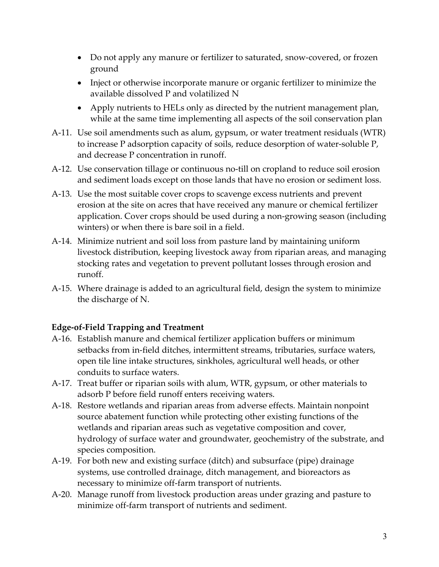- Do not apply any manure or fertilizer to saturated, snow‐covered, or frozen ground
- Inject or otherwise incorporate manure or organic fertilizer to minimize the available dissolved P and volatilized N
- Apply nutrients to HELs only as directed by the nutrient management plan, while at the same time implementing all aspects of the soil conservation plan
- A‐11. Use soil amendments such as alum, gypsum, or water treatment residuals (WTR) to increase P adsorption capacity of soils, reduce desorption of water‐soluble P, and decrease P concentration in runoff.
- A‐12. Use conservation tillage or continuous no‐till on cropland to reduce soil erosion and sediment loads except on those lands that have no erosion or sediment loss.
- A‐13. Use the most suitable cover crops to scavenge excess nutrients and prevent erosion at the site on acres that have received any manure or chemical fertilizer application. Cover crops should be used during a non‐growing season (including winters) or when there is bare soil in a field.
- A‐14. Minimize nutrient and soil loss from pasture land by maintaining uniform livestock distribution, keeping livestock away from riparian areas, and managing stocking rates and vegetation to prevent pollutant losses through erosion and runoff.
- A‐15. Where drainage is added to an agricultural field, design the system to minimize the discharge of N.

## **Edge‐of‐Field Trapping and Treatment**

- A‐16. Establish manure and chemical fertilizer application buffers or minimum setbacks from in‐field ditches, intermittent streams, tributaries, surface waters, open tile line intake structures, sinkholes, agricultural well heads, or other conduits to surface waters.
- A‐17. Treat buffer or riparian soils with alum, WTR, gypsum, or other materials to adsorb P before field runoff enters receiving waters.
- A‐18. Restore wetlands and riparian areas from adverse effects. Maintain nonpoint source abatement function while protecting other existing functions of the wetlands and riparian areas such as vegetative composition and cover, hydrology of surface water and groundwater, geochemistry of the substrate, and species composition.
- A‐19. For both new and existing surface (ditch) and subsurface (pipe) drainage systems, use controlled drainage, ditch management, and bioreactors as necessary to minimize off‐farm transport of nutrients.
- A‐20. Manage runoff from livestock production areas under grazing and pasture to minimize off‐farm transport of nutrients and sediment.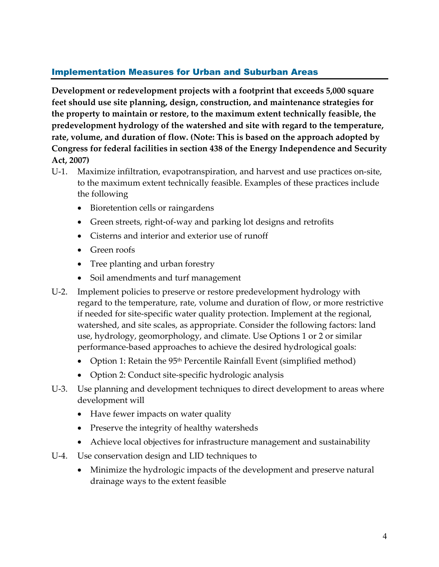## Implementation Measures for Urban and Suburban Areas

**Development or redevelopment projects with a footprint that exceeds 5,000 square feet should use site planning, design, construction, and maintenance strategies for the property to maintain or restore, to the maximum extent technically feasible, the predevelopment hydrology of the watershed and site with regard to the temperature, rate, volume, and duration of flow. (Note: This is based on the approach adopted by Congress for federal facilities in section 438 of the Energy Independence and Security Act, 2007)**

- U‐1. Maximize infiltration, evapotranspiration, and harvest and use practices on‐site, to the maximum extent technically feasible. Examples of these practices include the following
	- Bioretention cells or raingardens
	- Green streets, right‐of‐way and parking lot designs and retrofits
	- Cisterns and interior and exterior use of runoff
	- Green roofs
	- Tree planting and urban forestry
	- Soil amendments and turf management
- U-2. Implement policies to preserve or restore predevelopment hydrology with regard to the temperature, rate, volume and duration of flow, or more restrictive if needed for site‐specific water quality protection. Implement at the regional, watershed, and site scales, as appropriate. Consider the following factors: land use, hydrology, geomorphology, and climate. Use Options 1 or 2 or similar performance-based approaches to achieve the desired hydrological goals:
	- Option 1: Retain the  $95<sup>th</sup>$  Percentile Rainfall Event (simplified method)
	- Option 2: Conduct site-specific hydrologic analysis
- U-3. Use planning and development techniques to direct development to areas where development will
	- Have fewer impacts on water quality
	- Preserve the integrity of healthy watersheds
	- Achieve local objectives for infrastructure management and sustainability
- U‐4. Use conservation design and LID techniques to
	- Minimize the hydrologic impacts of the development and preserve natural drainage ways to the extent feasible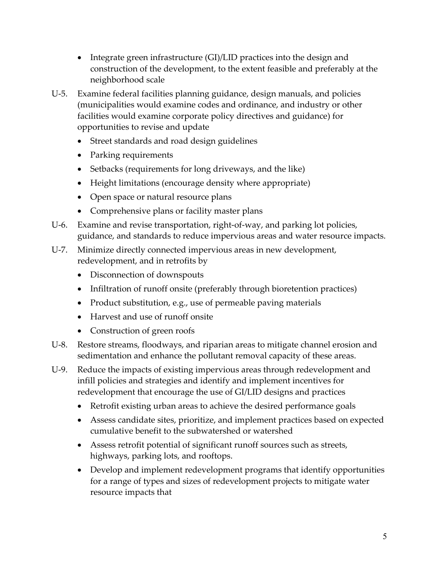- Integrate green infrastructure (GI)/LID practices into the design and construction of the development, to the extent feasible and preferably at the neighborhood scale
- U‐5. Examine federal facilities planning guidance, design manuals, and policies (municipalities would examine codes and ordinance, and industry or other facilities would examine corporate policy directives and guidance) for opportunities to revise and update
	- Street standards and road design guidelines
	- Parking requirements
	- Setbacks (requirements for long driveways, and the like)
	- Height limitations (encourage density where appropriate)
	- Open space or natural resource plans
	- Comprehensive plans or facility master plans
- U‐6. Examine and revise transportation, right‐of‐way, and parking lot policies, guidance, and standards to reduce impervious areas and water resource impacts.
- U-7. Minimize directly connected impervious areas in new development, redevelopment, and in retrofits by
	- Disconnection of downspouts
	- Infiltration of runoff onsite (preferably through bioretention practices)
	- Product substitution, e.g., use of permeable paving materials
	- Harvest and use of runoff onsite
	- Construction of green roofs
- U‐8. Restore streams, floodways, and riparian areas to mitigate channel erosion and sedimentation and enhance the pollutant removal capacity of these areas.
- U‐9. Reduce the impacts of existing impervious areas through redevelopment and infill policies and strategies and identify and implement incentives for redevelopment that encourage the use of GI/LID designs and practices
	- Retrofit existing urban areas to achieve the desired performance goals
	- Assess candidate sites, prioritize, and implement practices based on expected cumulative benefit to the subwatershed or watershed
	- Assess retrofit potential of significant runoff sources such as streets, highways, parking lots, and rooftops.
	- Develop and implement redevelopment programs that identify opportunities for a range of types and sizes of redevelopment projects to mitigate water resource impacts that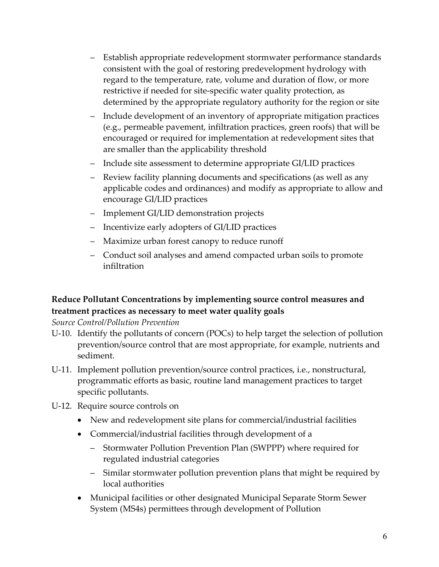- Establish appropriate redevelopment stormwater performance standards consistent with the goal of restoring predevelopment hydrology with regard to the temperature, rate, volume and duration of flow, or more restrictive if needed for site-specific water quality protection, as determined by the appropriate regulatory authority for the region or site
- Include development of an inventory of appropriate mitigation practices (e.g., permeable pavement, infiltration practices, green roofs) that will be encouraged or required for implementation at redevelopment sites that are smaller than the applicability threshold
- Include site assessment to determine appropriate GI/LID practices
- Review facility planning documents and specifications (as well as any applicable codes and ordinances) and modify as appropriate to allow and encourage GI/LID practices
- Implement GI/LID demonstration projects
- Incentivize early adopters of GI/LID practices
- Maximize urban forest canopy to reduce runoff
- Conduct soil analyses and amend compacted urban soils to promote infiltration

#### **Reduce Pollutant Concentrations by implementing source control measures and treatment practices as necessary to meet water quality goals**

#### *Source Control/Pollution Prevention*

- U‐10. Identify the pollutants of concern (POCs) to help target the selection of pollution prevention/source control that are most appropriate, for example, nutrients and sediment.
- U‐11. Implement pollution prevention/source control practices, i.e., nonstructural, programmatic efforts as basic, routine land management practices to target specific pollutants.
- U‐12. Require source controls on
	- New and redevelopment site plans for commercial/industrial facilities
	- Commercial/industrial facilities through development of a
		- Stormwater Pollution Prevention Plan (SWPPP) where required for regulated industrial categories
		- Similar stormwater pollution prevention plans that might be required by local authorities
	- Municipal facilities or other designated Municipal Separate Storm Sewer System (MS4s) permittees through development of Pollution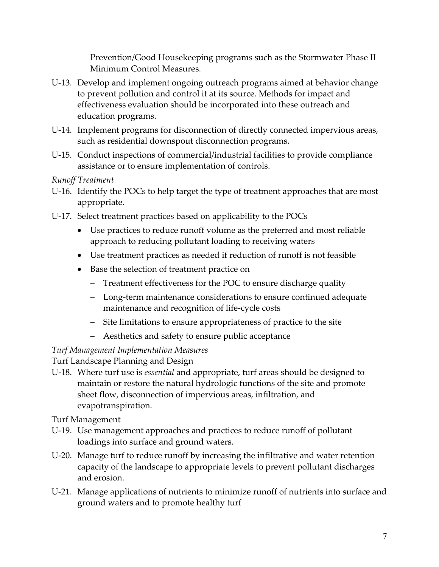Prevention/Good Housekeeping programs such as the Stormwater Phase II Minimum Control Measures.

- U‐13. Develop and implement ongoing outreach programs aimed at behavior change to prevent pollution and control it at its source. Methods for impact and effectiveness evaluation should be incorporated into these outreach and education programs.
- U‐14. Implement programs for disconnection of directly connected impervious areas, such as residential downspout disconnection programs.
- U‐15. Conduct inspections of commercial/industrial facilities to provide compliance assistance or to ensure implementation of controls.

*Runoff Treatment* 

- U-16. Identify the POCs to help target the type of treatment approaches that are most appropriate.
- U‐17. Select treatment practices based on applicability to the POCs
	- Use practices to reduce runoff volume as the preferred and most reliable approach to reducing pollutant loading to receiving waters
	- Use treatment practices as needed if reduction of runoff is not feasible
	- Base the selection of treatment practice on
		- Treatment effectiveness for the POC to ensure discharge quality
		- Long‐term maintenance considerations to ensure continued adequate maintenance and recognition of life‐cycle costs
		- Site limitations to ensure appropriateness of practice to the site
		- Aesthetics and safety to ensure public acceptance

## *Turf Management Implementation Measures*

Turf Landscape Planning and Design

U‐18. Where turf use is *essential* and appropriate, turf areas should be designed to maintain or restore the natural hydrologic functions of the site and promote sheet flow, disconnection of impervious areas, infiltration, and evapotranspiration.

Turf Management

- U‐19. Use management approaches and practices to reduce runoff of pollutant loadings into surface and ground waters.
- U‐20. Manage turf to reduce runoff by increasing the infiltrative and water retention capacity of the landscape to appropriate levels to prevent pollutant discharges and erosion.
- U‐21. Manage applications of nutrients to minimize runoff of nutrients into surface and ground waters and to promote healthy turf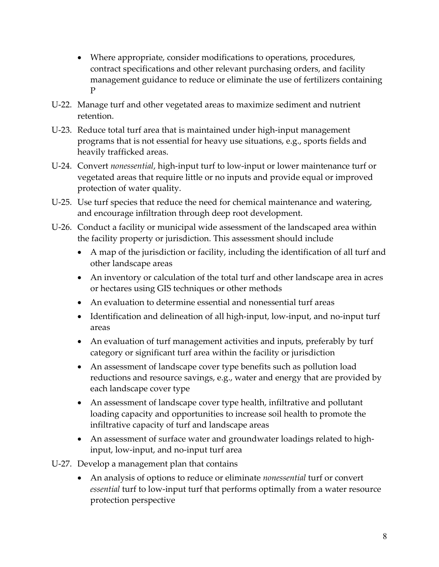- Where appropriate, consider modifications to operations, procedures, contract specifications and other relevant purchasing orders, and facility management guidance to reduce or eliminate the use of fertilizers containing P
- U‐22. Manage turf and other vegetated areas to maximize sediment and nutrient retention.
- U‐23. Reduce total turf area that is maintained under high‐input management programs that is not essential for heavy use situations, e.g., sports fields and heavily trafficked areas.
- U‐24. Convert *nonessential*, high‐input turf to low‐input or lower maintenance turf or vegetated areas that require little or no inputs and provide equal or improved protection of water quality.
- U-25. Use turf species that reduce the need for chemical maintenance and watering, and encourage infiltration through deep root development.
- U‐26. Conduct a facility or municipal wide assessment of the landscaped area within the facility property or jurisdiction. This assessment should include
	- A map of the jurisdiction or facility, including the identification of all turf and other landscape areas
	- An inventory or calculation of the total turf and other landscape area in acres or hectares using GIS techniques or other methods
	- An evaluation to determine essential and nonessential turf areas
	- Identification and delineation of all high-input, low-input, and no-input turf areas
	- An evaluation of turf management activities and inputs, preferably by turf category or significant turf area within the facility or jurisdiction
	- An assessment of landscape cover type benefits such as pollution load reductions and resource savings, e.g., water and energy that are provided by each landscape cover type
	- An assessment of landscape cover type health, infiltrative and pollutant loading capacity and opportunities to increase soil health to promote the infiltrative capacity of turf and landscape areas
	- An assessment of surface water and groundwater loadings related to highinput, low‐input, and no‐input turf area
- U‐27. Develop a management plan that contains
	- An analysis of options to reduce or eliminate *nonessential* turf or convert *essential* turf to low‐input turf that performs optimally from a water resource protection perspective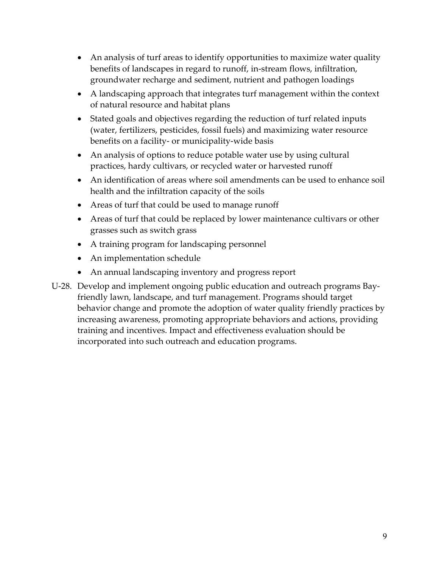- An analysis of turf areas to identify opportunities to maximize water quality benefits of landscapes in regard to runoff, in‐stream flows, infiltration, groundwater recharge and sediment, nutrient and pathogen loadings
- A landscaping approach that integrates turf management within the context of natural resource and habitat plans
- Stated goals and objectives regarding the reduction of turf related inputs (water, fertilizers, pesticides, fossil fuels) and maximizing water resource benefits on a facility‐ or municipality‐wide basis
- An analysis of options to reduce potable water use by using cultural practices, hardy cultivars, or recycled water or harvested runoff
- An identification of areas where soil amendments can be used to enhance soil health and the infiltration capacity of the soils
- Areas of turf that could be used to manage runoff
- Areas of turf that could be replaced by lower maintenance cultivars or other grasses such as switch grass
- A training program for landscaping personnel
- An implementation schedule
- An annual landscaping inventory and progress report
- U‐28. Develop and implement ongoing public education and outreach programs Bay‐ friendly lawn, landscape, and turf management. Programs should target behavior change and promote the adoption of water quality friendly practices by increasing awareness, promoting appropriate behaviors and actions, providing training and incentives. Impact and effectiveness evaluation should be incorporated into such outreach and education programs.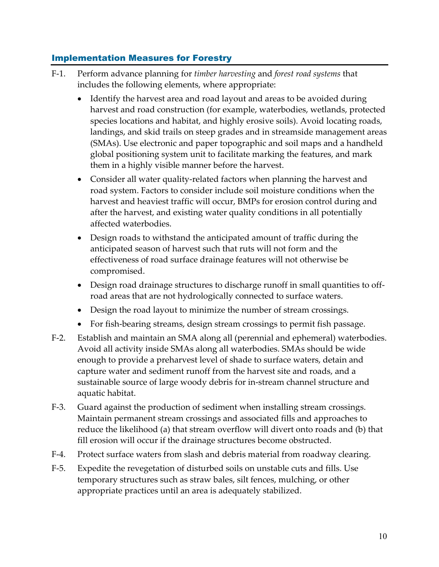## Implementation Measures for Forestry

- F‐1. Perform advance planning for *timber harvesting* and *forest road systems* that includes the following elements, where appropriate:
	- Identify the harvest area and road layout and areas to be avoided during harvest and road construction (for example, waterbodies, wetlands, protected species locations and habitat, and highly erosive soils). Avoid locating roads, landings, and skid trails on steep grades and in streamside management areas (SMAs). Use electronic and paper topographic and soil maps and a handheld global positioning system unit to facilitate marking the features, and mark them in a highly visible manner before the harvest.
	- Consider all water quality-related factors when planning the harvest and road system. Factors to consider include soil moisture conditions when the harvest and heaviest traffic will occur, BMPs for erosion control during and after the harvest, and existing water quality conditions in all potentially affected waterbodies.
	- Design roads to withstand the anticipated amount of traffic during the anticipated season of harvest such that ruts will not form and the effectiveness of road surface drainage features will not otherwise be compromised.
	- Design road drainage structures to discharge runoff in small quantities to offroad areas that are not hydrologically connected to surface waters.
	- Design the road layout to minimize the number of stream crossings.
	- For fish-bearing streams, design stream crossings to permit fish passage.
- F‐2. Establish and maintain an SMA along all (perennial and ephemeral) waterbodies. Avoid all activity inside SMAs along all waterbodies. SMAs should be wide enough to provide a preharvest level of shade to surface waters, detain and capture water and sediment runoff from the harvest site and roads, and a sustainable source of large woody debris for in‐stream channel structure and aquatic habitat.
- F‐3. Guard against the production of sediment when installing stream crossings. Maintain permanent stream crossings and associated fills and approaches to reduce the likelihood (a) that stream overflow will divert onto roads and (b) that fill erosion will occur if the drainage structures become obstructed.
- F-4. Protect surface waters from slash and debris material from roadway clearing.
- F‐5. Expedite the revegetation of disturbed soils on unstable cuts and fills. Use temporary structures such as straw bales, silt fences, mulching, or other appropriate practices until an area is adequately stabilized.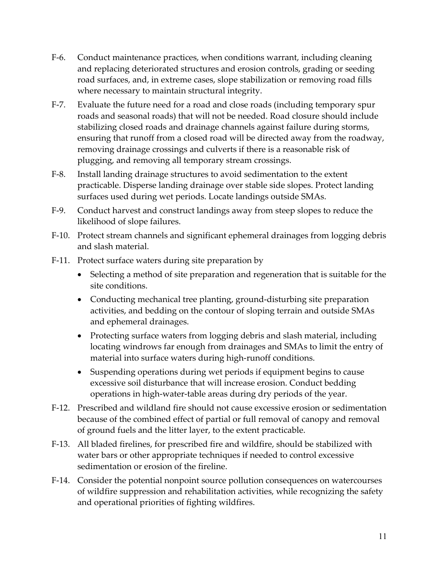- F‐6. Conduct maintenance practices, when conditions warrant, including cleaning and replacing deteriorated structures and erosion controls, grading or seeding road surfaces, and, in extreme cases, slope stabilization or removing road fills where necessary to maintain structural integrity.
- F-7. Evaluate the future need for a road and close roads (including temporary spur roads and seasonal roads) that will not be needed. Road closure should include stabilizing closed roads and drainage channels against failure during storms, ensuring that runoff from a closed road will be directed away from the roadway, removing drainage crossings and culverts if there is a reasonable risk of plugging, and removing all temporary stream crossings.
- F‐8. Install landing drainage structures to avoid sedimentation to the extent practicable. Disperse landing drainage over stable side slopes. Protect landing surfaces used during wet periods. Locate landings outside SMAs.
- F‐9. Conduct harvest and construct landings away from steep slopes to reduce the likelihood of slope failures.
- F-10. Protect stream channels and significant ephemeral drainages from logging debris and slash material.
- F-11. Protect surface waters during site preparation by
	- Selecting a method of site preparation and regeneration that is suitable for the site conditions.
	- Conducting mechanical tree planting, ground-disturbing site preparation activities, and bedding on the contour of sloping terrain and outside SMAs and ephemeral drainages.
	- Protecting surface waters from logging debris and slash material, including locating windrows far enough from drainages and SMAs to limit the entry of material into surface waters during high-runoff conditions.
	- Suspending operations during wet periods if equipment begins to cause excessive soil disturbance that will increase erosion. Conduct bedding operations in high‐water‐table areas during dry periods of the year.
- F‐12. Prescribed and wildland fire should not cause excessive erosion or sedimentation because of the combined effect of partial or full removal of canopy and removal of ground fuels and the litter layer, to the extent practicable.
- F‐13. All bladed firelines, for prescribed fire and wildfire, should be stabilized with water bars or other appropriate techniques if needed to control excessive sedimentation or erosion of the fireline.
- F-14. Consider the potential nonpoint source pollution consequences on watercourses of wildfire suppression and rehabilitation activities, while recognizing the safety and operational priorities of fighting wildfires.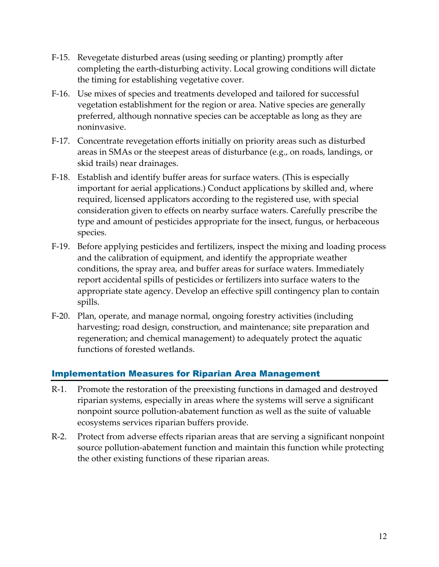- F‐15. Revegetate disturbed areas (using seeding or planting) promptly after completing the earth‐disturbing activity. Local growing conditions will dictate the timing for establishing vegetative cover.
- F-16. Use mixes of species and treatments developed and tailored for successful vegetation establishment for the region or area. Native species are generally preferred, although nonnative species can be acceptable as long as they are noninvasive.
- F-17. Concentrate revegetation efforts initially on priority areas such as disturbed areas in SMAs or the steepest areas of disturbance (e.g., on roads, landings, or skid trails) near drainages.
- F-18. Establish and identify buffer areas for surface waters. (This is especially important for aerial applications.) Conduct applications by skilled and, where required, licensed applicators according to the registered use, with special consideration given to effects on nearby surface waters. Carefully prescribe the type and amount of pesticides appropriate for the insect, fungus, or herbaceous species.
- F‐19. Before applying pesticides and fertilizers, inspect the mixing and loading process and the calibration of equipment, and identify the appropriate weather conditions, the spray area, and buffer areas for surface waters. Immediately report accidental spills of pesticides or fertilizers into surface waters to the appropriate state agency. Develop an effective spill contingency plan to contain spills.
- F‐20. Plan, operate, and manage normal, ongoing forestry activities (including harvesting; road design, construction, and maintenance; site preparation and regeneration; and chemical management) to adequately protect the aquatic functions of forested wetlands.

#### Implementation Measures for Riparian Area Management

- R‐1. Promote the restoration of the preexisting functions in damaged and destroyed riparian systems, especially in areas where the systems will serve a significant nonpoint source pollution‐abatement function as well as the suite of valuable ecosystems services riparian buffers provide.
- R‐2. Protect from adverse effects riparian areas that are serving a significant nonpoint source pollution‐abatement function and maintain this function while protecting the other existing functions of these riparian areas.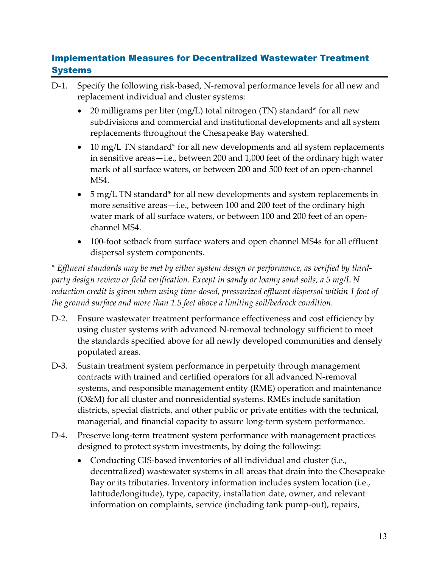## Implementation Measures for Decentralized Wastewater Treatment **Systems**

- D-1. Specify the following risk-based, N-removal performance levels for all new and replacement individual and cluster systems:
	- 20 milligrams per liter (mg/L) total nitrogen (TN) standard\* for all new subdivisions and commercial and institutional developments and all system replacements throughout the Chesapeake Bay watershed.
	- 10 mg/L TN standard\* for all new developments and all system replacements in sensitive areas—i.e., between 200 and 1,000 feet of the ordinary high water mark of all surface waters, or between 200 and 500 feet of an open‐channel MS4.
	- 5 mg/L TN standard\* for all new developments and system replacements in more sensitive areas—i.e., between 100 and 200 feet of the ordinary high water mark of all surface waters, or between 100 and 200 feet of an open‐ channel MS4.
	- 100-foot setback from surface waters and open channel MS4s for all effluent dispersal system components.

*\* Effluent standards may be met by either system design or performance, as verified by third‐ party design review or field verification. Except in sandy or loamy sand soils, a 5 mg/L N reduction credit is given when using time‐dosed, pressurized effluent dispersal within 1 foot of the ground surface and more than 1.5 feet above a limiting soil/bedrock condition.*

- D-2. Ensure wastewater treatment performance effectiveness and cost efficiency by using cluster systems with advanced N‐removal technology sufficient to meet the standards specified above for all newly developed communities and densely populated areas.
- D-3. Sustain treatment system performance in perpetuity through management contracts with trained and certified operators for all advanced N‐removal systems, and responsible management entity (RME) operation and maintenance (O&M) for all cluster and nonresidential systems. RMEs include sanitation districts, special districts, and other public or private entities with the technical, managerial, and financial capacity to assure long-term system performance.
- D-4. Preserve long-term treatment system performance with management practices designed to protect system investments, by doing the following:
	- Conducting GIS-based inventories of all individual and cluster (i.e., decentralized) wastewater systems in all areas that drain into the Chesapeake Bay or its tributaries. Inventory information includes system location (i.e., latitude/longitude), type, capacity, installation date, owner, and relevant information on complaints, service (including tank pump‐out), repairs,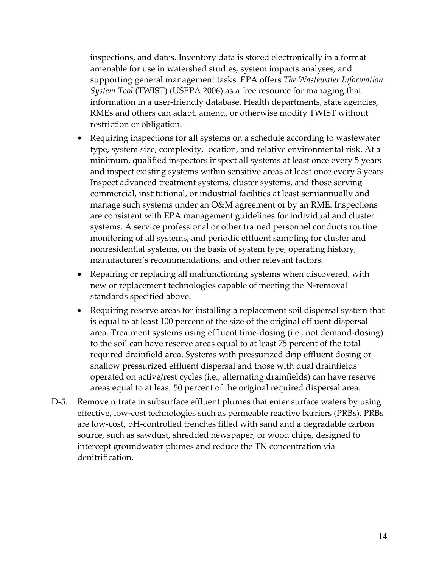inspections, and dates. Inventory data is stored electronically in a format amenable for use in watershed studies, system impacts analyses, and supporting general management tasks. EPA offers *The Wastewater Information System Tool* (TWIST) (USEPA 2006) as a free resource for managing that information in a user-friendly database. Health departments, state agencies, RMEs and others can adapt, amend, or otherwise modify TWIST without restriction or obligation.

- Requiring inspections for all systems on a schedule according to wastewater type, system size, complexity, location, and relative environmental risk. At a minimum, qualified inspectors inspect all systems at least once every 5 years and inspect existing systems within sensitive areas at least once every 3 years. Inspect advanced treatment systems, cluster systems, and those serving commercial, institutional, or industrial facilities at least semiannually and manage such systems under an O&M agreement or by an RME. Inspections are consistent with EPA management guidelines for individual and cluster systems. A service professional or other trained personnel conducts routine monitoring of all systems, and periodic effluent sampling for cluster and nonresidential systems, on the basis of system type, operating history, manufacturer's recommendations, and other relevant factors.
- Repairing or replacing all malfunctioning systems when discovered, with new or replacement technologies capable of meeting the N‐removal standards specified above.
- Requiring reserve areas for installing a replacement soil dispersal system that is equal to at least 100 percent of the size of the original effluent dispersal area. Treatment systems using effluent time‐dosing (i.e., not demand‐dosing) to the soil can have reserve areas equal to at least 75 percent of the total required drainfield area. Systems with pressurized drip effluent dosing or shallow pressurized effluent dispersal and those with dual drainfields operated on active/rest cycles (i.e., alternating drainfields) can have reserve areas equal to at least 50 percent of the original required dispersal area.
- D-5. Remove nitrate in subsurface effluent plumes that enter surface waters by using effective, low‐cost technologies such as permeable reactive barriers (PRBs). PRBs are low‐cost, pH‐controlled trenches filled with sand and a degradable carbon source, such as sawdust, shredded newspaper, or wood chips, designed to intercept groundwater plumes and reduce the TN concentration via denitrification.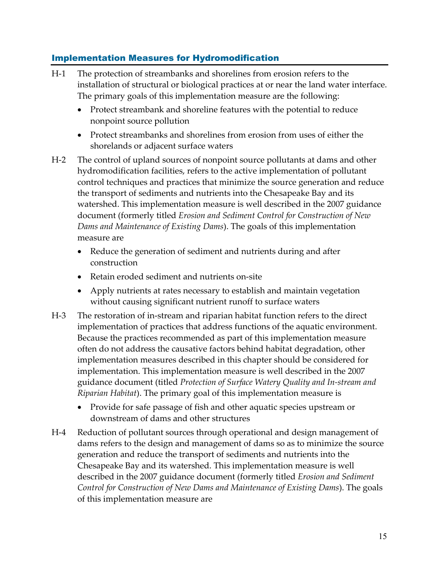## Implementation Measures for Hydromodification

- H-1 The protection of streambanks and shorelines from erosion refers to the installation of structural or biological practices at or near the land water interface. The primary goals of this implementation measure are the following:
	- Protect streambank and shoreline features with the potential to reduce nonpoint source pollution
	- Protect streambanks and shorelines from erosion from uses of either the shorelands or adjacent surface waters
- H-2 The control of upland sources of nonpoint source pollutants at dams and other hydromodification facilities, refers to the active implementation of pollutant control techniques and practices that minimize the source generation and reduce the transport of sediments and nutrients into the Chesapeake Bay and its watershed. This implementation measure is well described in the 2007 guidance document (formerly titled *Erosion and Sediment Control for Construction of New Dams and Maintenance of Existing Dams*). The goals of this implementation measure are
	- Reduce the generation of sediment and nutrients during and after construction
	- Retain eroded sediment and nutrients on-site
	- Apply nutrients at rates necessary to establish and maintain vegetation without causing significant nutrient runoff to surface waters
- H-3 The restoration of in-stream and riparian habitat function refers to the direct implementation of practices that address functions of the aquatic environment. Because the practices recommended as part of this implementation measure often do not address the causative factors behind habitat degradation, other implementation measures described in this chapter should be considered for implementation. This implementation measure is well described in the 2007 guidance document (titled *Protection of Surface Watery Quality and In‐stream and Riparian Habitat*). The primary goal of this implementation measure is
	- Provide for safe passage of fish and other aquatic species upstream or downstream of dams and other structures
- H-4 Reduction of pollutant sources through operational and design management of dams refers to the design and management of dams so as to minimize the source generation and reduce the transport of sediments and nutrients into the Chesapeake Bay and its watershed. This implementation measure is well described in the 2007 guidance document (formerly titled *Erosion and Sediment Control for Construction of New Dams and Maintenance of Existing Dams*). The goals of this implementation measure are